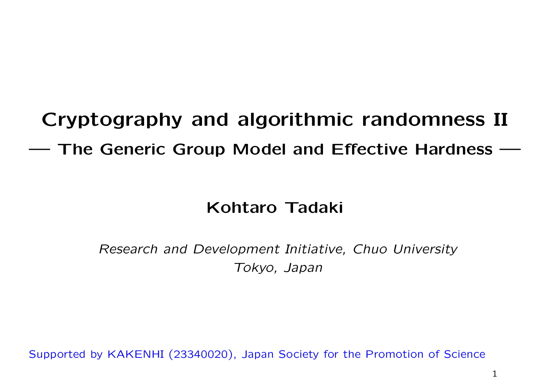## **Cryptography and algorithmic randomness II**

**— The Generic Group Model and Effective Hardness —**

#### **Kohtaro Tadaki**

*Research and Development Initiative, Chuo University Tokyo, Japan*

Supported by KAKENHI (23340020), Japan Society for the Promotion of Science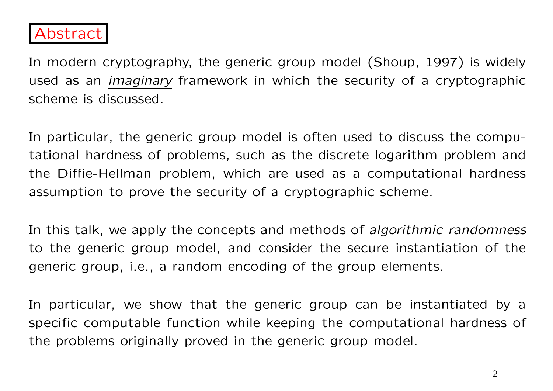

In modern cryptography, the generic group model (Shoup, 1997) is widely used as an *imaginary* framework in which the security of a cryptographic scheme is discussed.

In particular, the generic group model is often used to discuss the computational hardness of problems, such as the discrete logarithm problem and the Diffie-Hellman problem, which are used as a computational hardness assumption to prove the security of a cryptographic scheme.

In this talk, we apply the concepts and methods of *algorithmic randomness* to the generic group model, and consider the secure instantiation of the generic group, i.e., a random encoding of the group elements.

In particular, we show that the generic group can be instantiated by a specific computable function while keeping the computational hardness of the problems originally proved in the generic group model.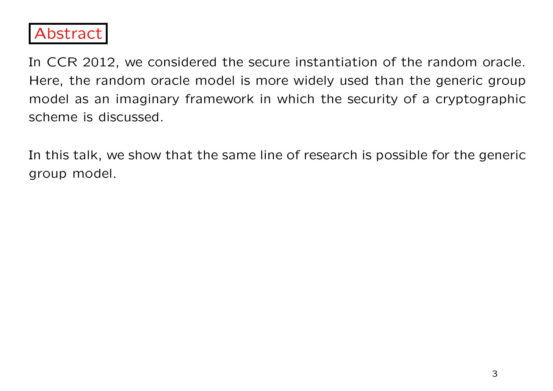

In CCR 2012, we considered the secure instantiation of the random oracle. Here, the random oracle model is more widely used than the generic group model as an imaginary framework in which the security of a cryptographic scheme is discussed.

In this talk, we show that the same line of research is possible for the generic group model.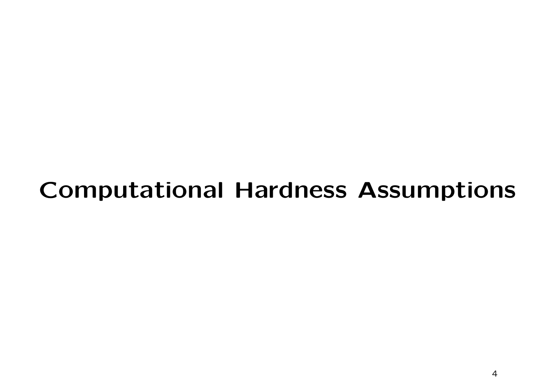### **Computational Hardness Assumptions**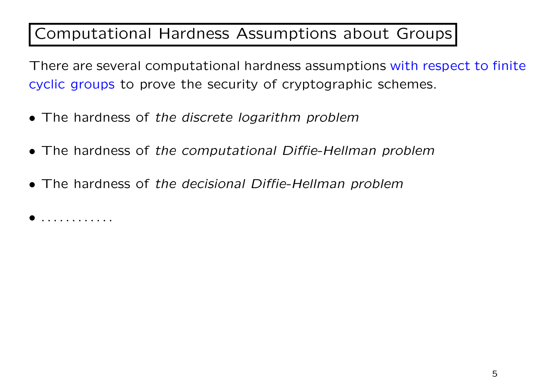#### Computational Hardness Assumptions about Groups

There are several computational hardness assumptions with respect to finite cyclic groups to prove the security of cryptographic schemes.

- *•* The hardness of *the discrete logarithm problem*
- *•* The hardness of *the computational Diffie-Hellman problem*
- *•* The hardness of *the decisional Diffie-Hellman problem*

*• . . . . . . . . . . . .*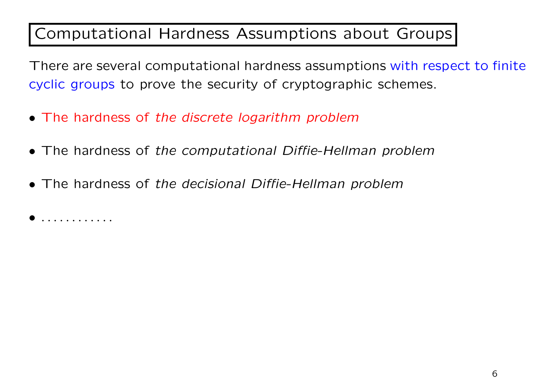#### Computational Hardness Assumptions about Groups

There are several computational hardness assumptions with respect to finite cyclic groups to prove the security of cryptographic schemes.

- *•* The hardness of *the discrete logarithm problem*
- *•* The hardness of *the computational Diffie-Hellman problem*
- *•* The hardness of *the decisional Diffie-Hellman problem*

*• . . . . . . . . . . . .*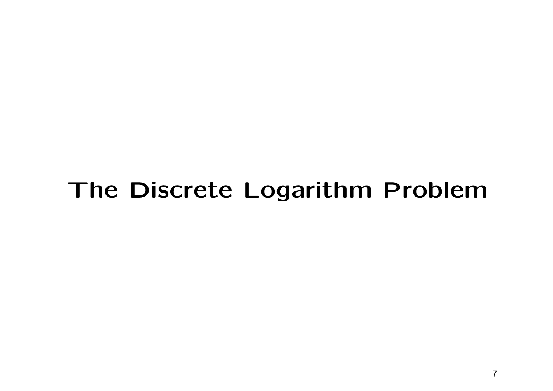### **The Discrete Logarithm Problem**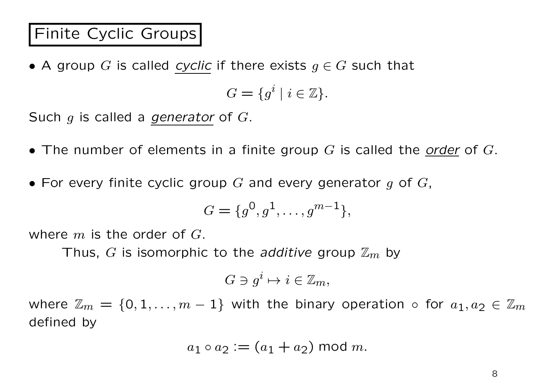#### Finite Cyclic Groups

*•* A group *G* is called *cyclic* if there exists *g ∈ G* such that

 $G = \{g^i \mid i \in \mathbb{Z}\}.$ 

Such *g* is called a *generator* of *G*.

- *•* The number of elements in a finite group *G* is called the *order* of *G*.
- *•* For every finite cyclic group *G* and every generator *g* of *G*,

$$
G = \{g^0, g^1, \dots, g^{m-1}\},\
$$

where *m* is the order of *G*.

Thus, *G* is isomorphic to the *additive* group Z*m* by

$$
G \ni g^i \mapsto i \in \mathbb{Z}_m,
$$

where  $\mathbb{Z}_m = \{0, 1, \ldots, m-1\}$  with the binary operation  $\circ$  for  $a_1, a_2 \in \mathbb{Z}_m$ defined by

$$
a_1 \circ a_2 := (a_1 + a_2) \bmod m.
$$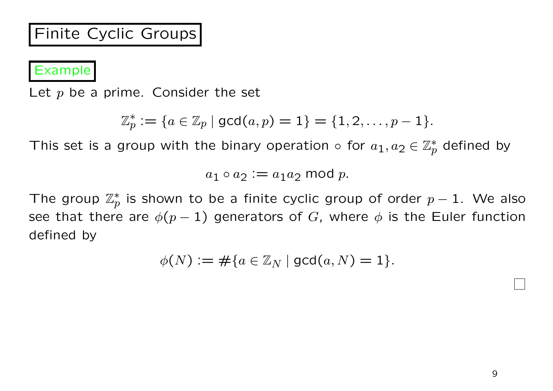#### Finite Cyclic Groups

Example

Let p be a prime. Consider the set

$$
\mathbb{Z}_p^* := \{ a \in \mathbb{Z}_p \mid \gcd(a, p) = 1 \} = \{ 1, 2, \ldots, p - 1 \}.
$$

This set is a group with the binary operation  $\circ$  for  $a_1, a_2 \in \mathbb{Z}_p^*$  defined by

 $a_1 \circ a_2 := a_1 a_2 \text{ mod } p.$ 

The group  $\mathbb{Z}_p^*$ *p* is shown to be a finite cyclic group of order *p −* 1. We also see that there are  $\phi(p-1)$  generators of *G*, where  $\phi$  is the Euler function defined by

$$
\phi(N) := \#\{a \in \mathbb{Z}_N \mid \gcd(a, N) = 1\}.
$$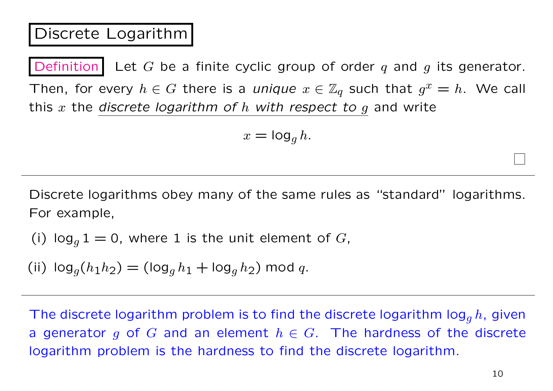#### Discrete Logarithm

Definition Let  $G$  be a finite cyclic group of order  $q$  and  $g$  its generator. Then, for every  $h \in G$  there is a *unique*  $x \in \mathbb{Z}_q$  such that  $g^x = h$ . We call this *x* the *discrete logarithm of h with respect to g* and write

$$
x = \log_g h.
$$

Discrete logarithms obey many of the same rules as "standard" logarithms. For example,

(i) 
$$
\log_g 1 = 0
$$
, where 1 is the unit element of *G*,

(ii)  $\log_q(h_1h_2) = (\log_q h_1 + \log_q h_2)$  mod *q*.

The discrete logarithm problem is to find the discrete logarithm log*<sup>g</sup> h*, given a generator *g* of *G* and an element  $h \in G$ . The hardness of the discrete logarithm problem is the hardness to find the discrete logarithm.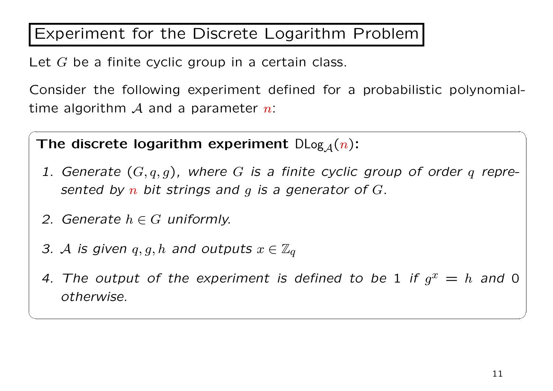#### Experiment for the Discrete Logarithm Problem

Let *G* be a finite cyclic group in a certain class.

Consider the following experiment defined for a probabilistic polynomialtime algorithm *A* and a parameter *n*:

The discrete logarithm experiment  $D\text{Log}_A(n)$ :

*1. Generate* (*G, q, g*)*, where G is a finite cyclic group of order q represented by n bit strings and g is a generator of G.*

 $\sqrt{2\pi}$ 

- *2. Generate*  $h \in G$  *uniformly.*
- *3. A is given*  $q, g, h$  *and outputs*  $x \in \mathbb{Z}_q$
- 4. The output of the experiment is defined to be 1 if  $g^x = h$  and 0 *otherwise.*

✒ ✑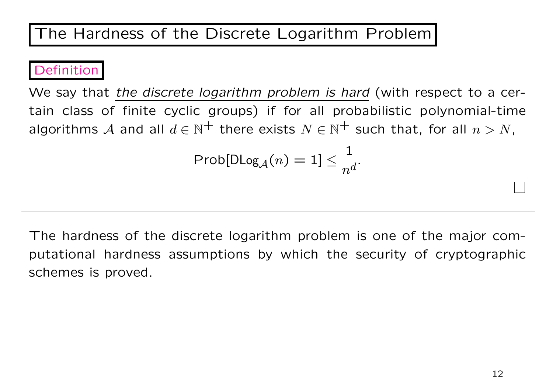#### Definition

We say that *the discrete logarithm problem is hard* (with respect to a certain class of finite cyclic groups) if for all probabilistic polynomial-time algorithms *A* and all  $d \in \mathbb{N}^+$  there exists  $N \in \mathbb{N}^+$  such that, for all  $n > N$ ,

$$
\mathsf{Prob}[\mathsf{DLog}_\mathcal{A}(n) = 1] \leq \frac{1}{n^d}.
$$

The hardness of the discrete logarithm problem is one of the major computational hardness assumptions by which the security of cryptographic schemes is proved.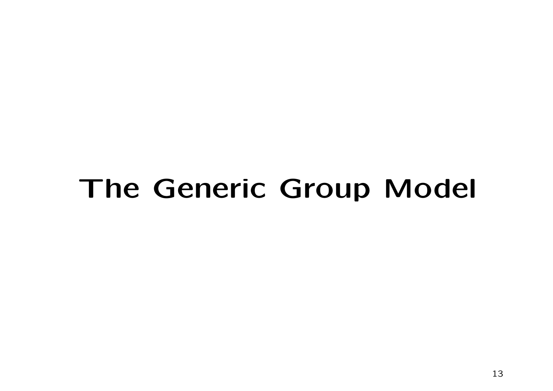# **The Generic Group Model**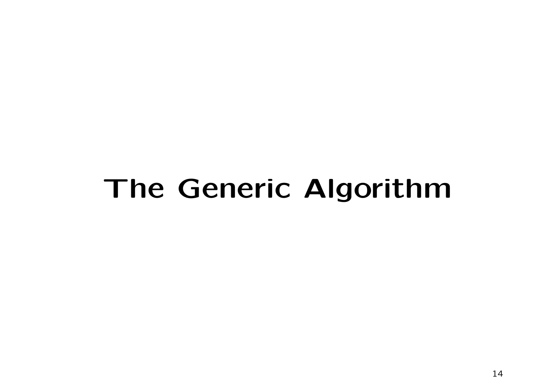# **The Generic Algorithm**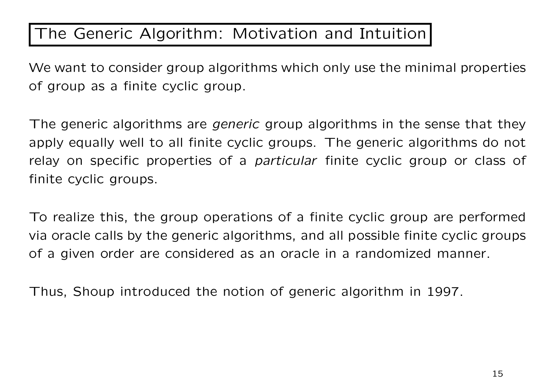#### The Generic Algorithm: Motivation and Intuition

We want to consider group algorithms which only use the minimal properties of group as a finite cyclic group.

The generic algorithms are *generic* group algorithms in the sense that they apply equally well to all finite cyclic groups. The generic algorithms do not relay on specific properties of a *particular* finite cyclic group or class of finite cyclic groups.

To realize this, the group operations of a finite cyclic group are performed via oracle calls by the generic algorithms, and all possible finite cyclic groups of a given order are considered as an oracle in a randomized manner.

Thus, Shoup introduced the notion of generic algorithm in 1997.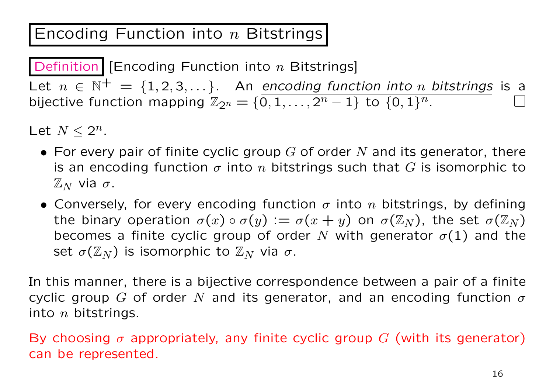#### Encoding Function into *n* Bitstrings

Definition [Encoding Function into *n* Bitstrings] Let  $n \in \mathbb{N}^+ = \{1, 2, 3, \dots\}$ . An *encoding function into n bitstrings* is a bijective function mapping  $\mathbb{Z}_{2^n} = \{0, 1, \ldots, 2^n - 1\}$  to  $\{0, 1\}^n$ .

Let  $N \leq 2^n$ .

- *•* For every pair of finite cyclic group *G* of order *N* and its generator, there is an encoding function  $\sigma$  into  $n$  bitstrings such that  $G$  is isomorphic to  $\mathbb{Z}_N$  via σ.
- *•* Conversely, for every encoding function *σ* into *n* bitstrings, by defining the binary operation  $\sigma(x) \circ \sigma(y) := \sigma(x + y)$  on  $\sigma(\mathbb{Z}_N)$ , the set  $\sigma(\mathbb{Z}_N)$ becomes a finite cyclic group of order N with generator  $\sigma(1)$  and the set  $\sigma(\mathbb{Z}_N)$  is isomorphic to  $\mathbb{Z}_N$  via  $\sigma$ .

In this manner, there is a bijective correspondence between a pair of a finite cyclic group *G* of order *N* and its generator, and an encoding function *σ* into *n* bitstrings.

By choosing  $\sigma$  appropriately, any finite cyclic group  $G$  (with its generator) can be represented.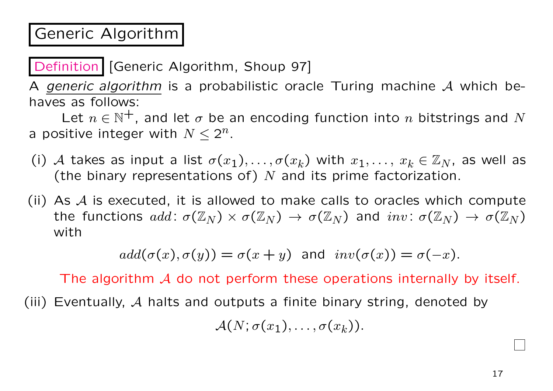#### Generic Algorithm

Definition | [Generic Algorithm, Shoup 97]

A *generic algorithm* is a probabilistic oracle Turing machine *A* which behaves as follows:

Let  $n \in \mathbb{N}^+$ , and let  $\sigma$  be an encoding function into  $n$  bitstrings and  $N$ a positive integer with  $N \leq 2^n$ .

- (i) A takes as input a list  $\sigma(x_1), \ldots, \sigma(x_k)$  with  $x_1, \ldots, x_k \in \mathbb{Z}_N$ , as well as (the binary representations of) *N* and its prime factorization.
- (ii) As *A* is executed, it is allowed to make calls to oracles which compute the functions  $add\colon \sigma(\mathbb{Z}_N)\times \sigma(\mathbb{Z}_N) \to \sigma(\mathbb{Z}_N)$  and  $inv\colon \sigma(\mathbb{Z}_N)\to \sigma(\mathbb{Z}_N)$ with

 $\alpha d d(\sigma(x), \sigma(y)) = \sigma(x + y)$  and  $inv(\sigma(x)) = \sigma(-x)$ .

The algorithm *A* do not perform these operations internally by itself.

(iii) Eventually, *A* halts and outputs a finite binary string, denoted by

 $\mathcal{A}(N;\sigma(x_1),\ldots,\sigma(x_k)).$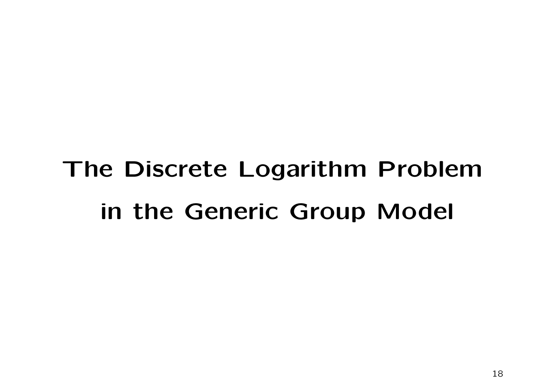# **The Discrete Logarithm Problem in the Generic Group Model**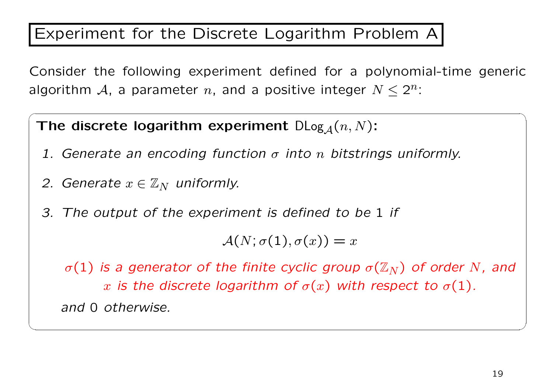#### Experiment for the Discrete Logarithm Problem A

Consider the following experiment defined for a polynomial-time generic algorithm  $A$ , a parameter  $n$ , and a positive integer  $N \leq 2^n$ :

 $\sqrt{2\pi}$ 

The discrete logarithm experiment  $D\text{Log}_A(n, N)$ :

- *1. Generate an encoding function σ into n bitstrings uniformly.*
- *2. Generate*  $x \in \mathbb{Z}_N$  *uniformly.*
- *3. The output of the experiment is defined to be* 1 *if*

 $A(N;\sigma(1),\sigma(x)) = x$ 

*σ*(1) *is a generator of the finite cyclic group*  $\sigma(\mathbb{Z}_N)$  *of order N*, and *x* is the discrete logarithm of  $\sigma(x)$  with respect to  $\sigma(1)$ . *and* 0 *otherwise.*

✒ ✑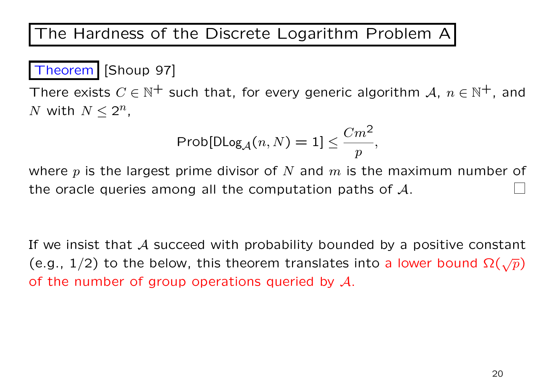The Hardness of the Discrete Logarithm Problem A

#### Theorem [Shoup 97]

There exists  $C \in \mathbb{N}^+$  such that, for every generic algorithm  $A, n \in \mathbb{N}^+$ , and *N* with  $N \leq 2^n$ ,

$$
\mathsf{Prob}[\mathsf{DLog}_\mathcal{A}(n,N)=1]\leq \frac{Cm^2}{p},
$$

where *p* is the largest prime divisor of *N* and *m* is the maximum number of the oracle queries among all the computation paths of *A*.

If we insist that *A* succeed with probability bounded by a positive constant (e.g.,  $1/2$ ) to the below, this theorem translates into a lower bound  $\Omega(\sqrt{p})$ of the number of group operations queried by *A*.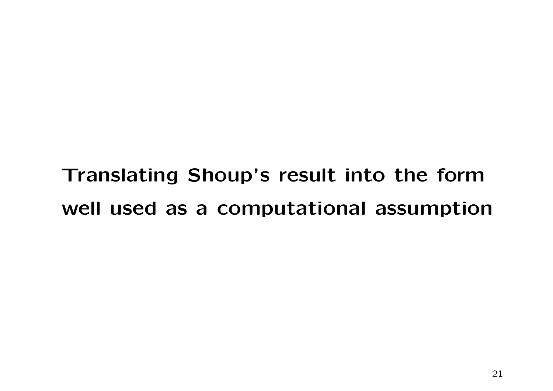**Translating Shoup's result into the form well used as a computational assumption**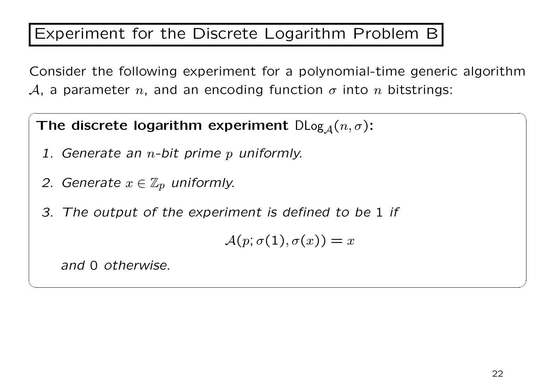#### Experiment for the Discrete Logarithm Problem B

Consider the following experiment for a polynomial-time generic algorithm *A*, a parameter *n*, and an encoding function  $\sigma$  into *n* bitstrings:

 $\sqrt{2\pi}$ 

**The discrete logarithm experiment**  $D\text{Log}_{A}(n, \sigma)$ :

- *1. Generate an n-bit prime p uniformly.*
- *2. Generate*  $x \in \mathbb{Z}_p$  *uniformly.*
- *3. The output of the experiment is defined to be* 1 *if*

 $\mathcal{A}(p; \sigma(1), \sigma(x)) = x$ 

✒ ✑

*and* 0 *otherwise.*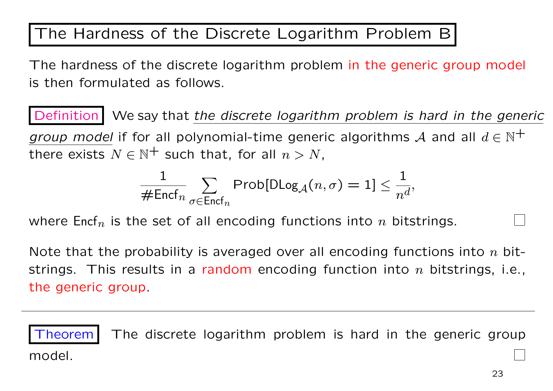#### The Hardness of the Discrete Logarithm Problem B

The hardness of the discrete logarithm problem in the generic group model is then formulated as follows.

Definition We say that *the discrete logarithm problem is hard in the generic group model* if for all polynomial-time generic algorithms A and all  $d \in \mathbb{N}^+$ there exists  $N \in \mathbb{N}^+$  such that, for all  $n > N$ ,

$$
\frac{1}{\# \mathsf{Encf}_n} \sum_{\sigma \in \mathsf{Encf}_n} \mathsf{Prob}[\mathsf{DLog}_\mathcal{A}(n, \sigma) = 1] \leq \frac{1}{n^d},
$$

where Encf*n* is the set of all encoding functions into *n* bitstrings.

Note that the probability is averaged over all encoding functions into *n* bitstrings. This results in a random encoding function into *n* bitstrings, i.e., the generic group.

Theorem The discrete logarithm problem is hard in the generic group model.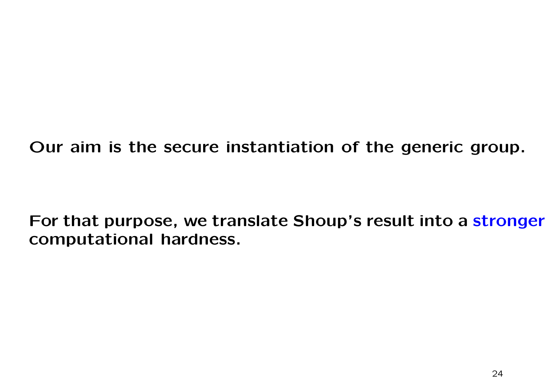**Our aim is the secure instantiation of the generic group.**

**For that purpose, we translate Shoup's result into a stronger computational hardness.**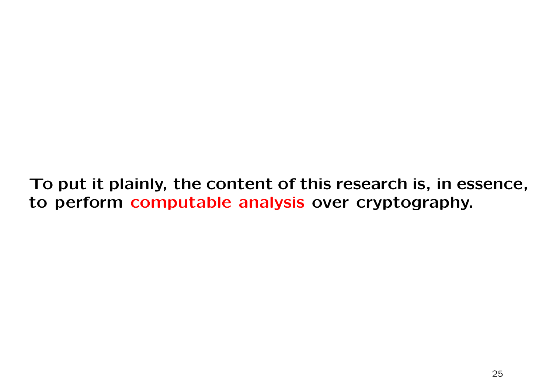**To put it plainly, the content of this research is, in essence, to perform computable analysis over cryptography.**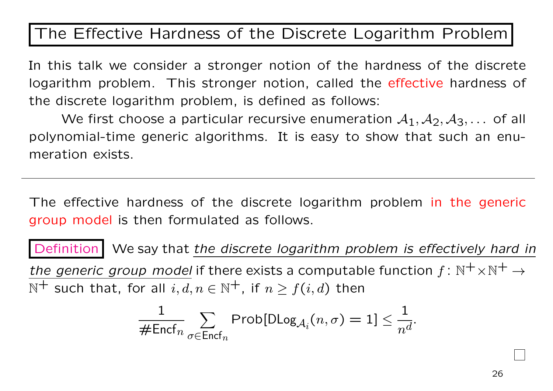#### The Effective Hardness of the Discrete Logarithm Problem

In this talk we consider a stronger notion of the hardness of the discrete logarithm problem. This stronger notion, called the effective hardness of the discrete logarithm problem, is defined as follows:

We first choose a particular recursive enumeration  $A_1$ ,  $A_2$ ,  $A_3$ ,... of all polynomial-time generic algorithms. It is easy to show that such an enumeration exists.

The effective hardness of the discrete logarithm problem in the generic group model is then formulated as follows.

Definition We say that the discrete logarithm problem is effectively hard in *the generic group model* if there exists a computable function  $f: \mathbb{N}^+ \times \mathbb{N}^+ \to$  $\mathbb{N}^+$  such that, for all  $i, d, n \in \mathbb{N}^+$ , if  $n > f(i, d)$  then

$$
\frac{1}{\# \text{Encf}_n} \sum_{\sigma \in \text{Encf}_n} \text{Prob}[\text{DLog}_{\mathcal{A}_i}(n, \sigma) = 1] \leq \frac{1}{n^d}.
$$

26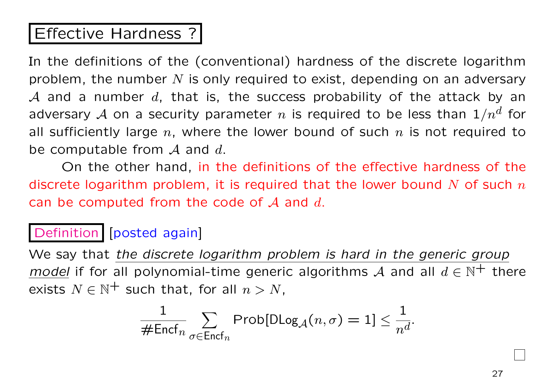#### Effective Hardness ?

In the definitions of the (conventional) hardness of the discrete logarithm problem, the number *N* is only required to exist, depending on an adversary *A* and a number *d*, that is, the success probability of the attack by an adversary  ${\cal A}$  on a security parameter  $n$  is required to be less than  $1/n^d$  for all sufficiently large *n*, where the lower bound of such *n* is not required to be computable from *A* and *d*.

On the other hand, in the definitions of the effective hardness of the discrete logarithm problem, it is required that the lower bound *N* of such *n* can be computed from the code of *A* and *d*.

#### Definition [posted again]

We say that *the discrete logarithm problem is hard in the generic group model* if for all polynomial-time generic algorithms A and all  $d \in \mathbb{N}^+$  there exists  $N \in \mathbb{N}^+$  such that, for all  $n > N$ ,

$$
\frac{1}{\# \mathsf{Encf}_n} \sum_{\sigma \in \mathsf{Encf}_n} \mathsf{Prob}[\mathsf{DLog}_\mathcal{A}(n, \sigma) = 1] \leq \frac{1}{n^d}.
$$

27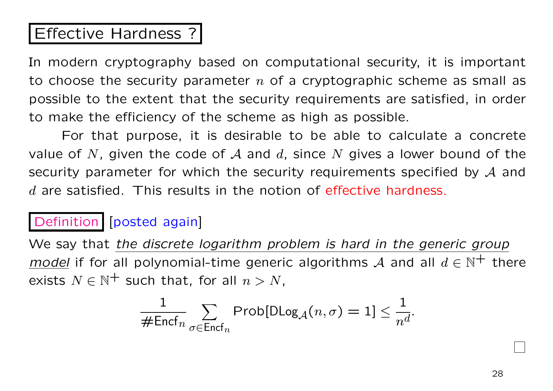#### Effective Hardness ?

In modern cryptography based on computational security, it is important to choose the security parameter *n* of a cryptographic scheme as small as possible to the extent that the security requirements are satisfied, in order to make the efficiency of the scheme as high as possible.

For that purpose, it is desirable to be able to calculate a concrete value of *N*, given the code of *A* and *d*, since *N* gives a lower bound of the security parameter for which the security requirements specified by *A* and *d* are satisfied. This results in the notion of effective hardness.

#### Definition [posted again]

We say that *the discrete logarithm problem is hard in the generic group model* if for all polynomial-time generic algorithms A and all  $d \in \mathbb{N}^+$  there exists  $N \in \mathbb{N}^+$  such that, for all  $n > N$ ,

$$
\frac{1}{\# \text{Encf}_n} \sum_{\sigma \in \text{Encf}_n} \text{Prob}[\text{DLog}_\mathcal{A}(n, \sigma) = 1] \leq \frac{1}{n^d}.
$$

28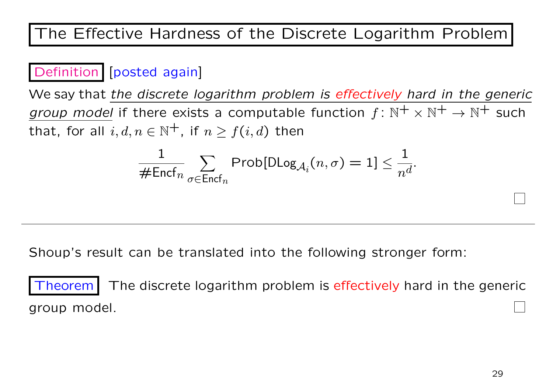#### The Effective Hardness of the Discrete Logarithm Problem

#### Definition [posted again]

We say that *the discrete logarithm problem is effectively hard in the generic group model* if there exists a computable function  $f: \mathbb{N}^+ \times \mathbb{N}^+ \to \mathbb{N}^+$  such that, for all  $i, d, n \in \mathbb{N}^+$ , if  $n > f(i, d)$  then

$$
\frac{1}{\# \mathsf{Encf}_n} \sum_{\sigma \in \mathsf{Encf}_n} \mathsf{Prob}[\mathsf{DLog}_{\mathcal{A}_i}(n, \sigma) = 1] \leq \frac{1}{n^d}.
$$

Shoup's result can be translated into the following stronger form:

Theorem The discrete logarithm problem is effectively hard in the generic group model.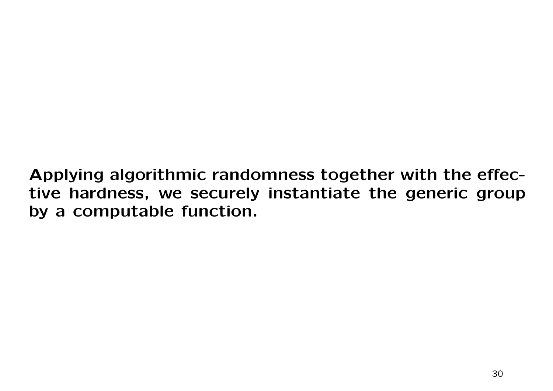**Applying algorithmic randomness together with the effective hardness, we securely instantiate the generic group by a computable function.**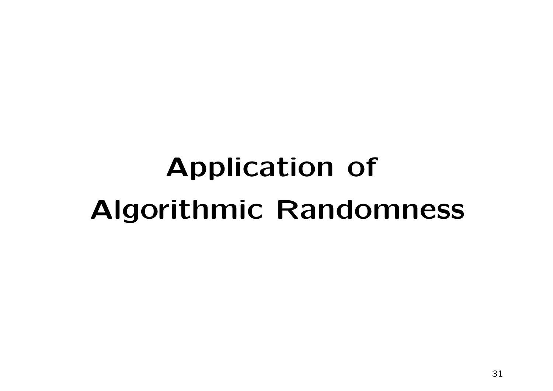# **Application of Algorithmic Randomness**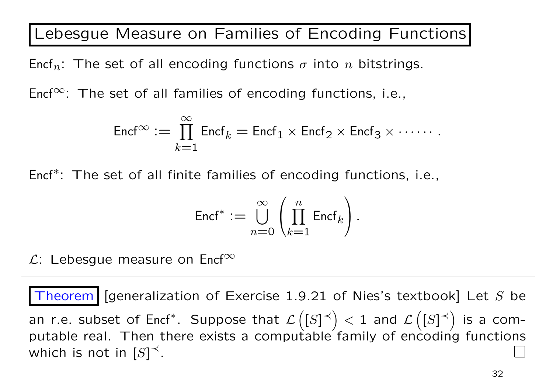Lebesgue Measure on Families of Encoding Functions

Encf*n*: The set of all encoding functions *σ* into *n* bitstrings.

Encf*∞*: The set of all families of encoding functions, i.e.,

$$
\mathrm{Encf}^\infty:=\prod_{k=1}^\infty \mathrm{Encf}_k=\mathrm{Encf}_1\times \mathrm{Encf}_2\times \mathrm{Encf}_3\times \cdots\cdots.
$$

Encf*<sup>∗</sup>* : The set of all finite families of encoding functions, i.e.,

$$
\text{Encf}^* := \bigcup_{n=0}^{\infty} \left( \prod_{k=1}^n \text{Encf}_k \right).
$$

*L*: Lebesgue measure on Encf*<sup>∞</sup>*

Theorem [generalization of Exercise 1.9.21 of Nies's textbook] Let *S* be an r.e. subset of Encf\*. Suppose that  $\mathcal{L}\left( [S]^{\prec} \right) < 1$  and  $\mathcal{L}\left( [S]^{\prec} \right)$  is a computable real. Then there exists a computable family of encoding functions which is not in  $[S]^\prec.$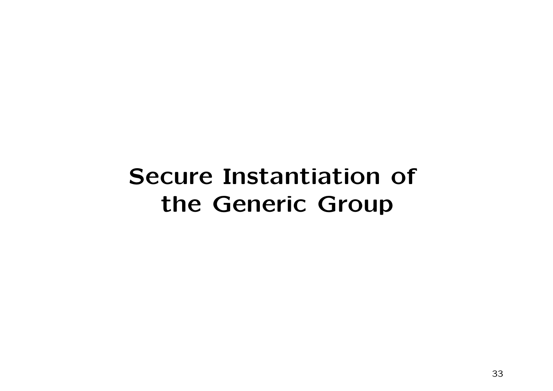## **Secure Instantiation of the Generic Group**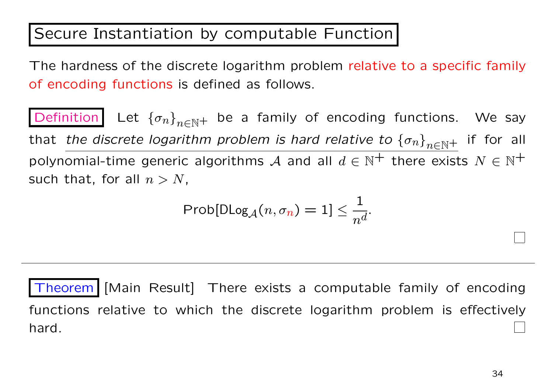#### Secure Instantiation by computable Function

The hardness of the discrete logarithm problem relative to a specific family of encoding functions is defined as follows.

Definition Let  ${\lbrace \sigma_n \rbrace}_{n \in \mathbb{N}}$  be a family of encoding functions. We say that *the discrete logarithm problem is hard relative to*  ${\lbrace \sigma_n \rbrace}_{n \in \mathbb{N}}$  if for all polynomial-time generic algorithms *A* and all  $d \in \mathbb{N}^+$  there exists  $N \in \mathbb{N}^+$ such that, for all  $n > N$ ,

$$
\text{Prob}[\text{DLog}_{\mathcal{A}}(n, \sigma_n) = 1] \leq \frac{1}{n^d}.
$$

Theorem | [Main Result] There exists a computable family of encoding functions relative to which the discrete logarithm problem is effectively hard.